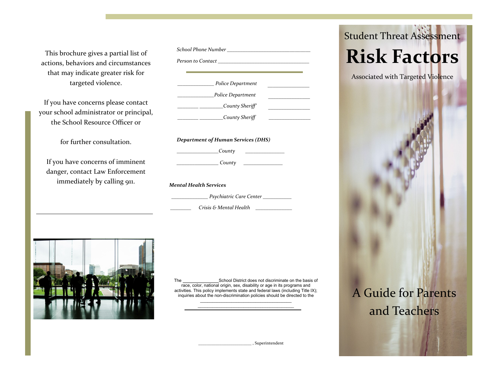This brochure gives a partial list of actions, behaviors and circumstances that may indicate greater risk for targeted violence.

If you have concerns please contact your school administrator or principal, the School Resource Officer or

for further consultation.

If you have concerns of imminent danger, contact Law Enforcement immediately by calling 911.

*School Phone Number \_\_\_\_\_\_\_\_\_\_\_\_\_\_\_\_\_\_\_\_\_\_\_\_\_\_\_\_\_\_\_\_ Person to Contact \_\_\_\_\_\_\_\_\_\_\_\_\_\_\_\_\_\_\_\_\_\_\_\_\_\_\_\_\_\_\_\_\_\_\_ \_\_\_\_\_\_\_\_\_\_\_\_\_\_\_\_ \_\_\_\_\_\_\_\_\_\_\_\_\_\_\_\_ \_\_\_\_\_\_\_\_\_\_\_\_\_\_ Police Department \_\_\_\_\_\_\_\_\_\_\_\_\_\_Police Department \_\_\_\_\_\_\_\_ \_\_\_\_\_\_\_\_\_County Sheriff' \_\_\_\_\_\_\_\_ \_\_\_\_\_\_\_\_\_County Sheriff \_\_\_\_\_\_\_\_\_\_\_\_\_\_\_\_ Department of Human Services (DHS) \_\_\_\_\_\_\_\_\_\_\_\_\_\_\_\_County \_\_\_\_\_\_\_\_\_\_\_\_\_\_\_*

*\_\_\_\_\_\_\_\_\_\_\_\_\_\_\_\_ County \_\_\_\_\_\_\_\_\_\_\_\_\_\_\_*

*Mental Health Services*

 *\_\_\_\_\_\_\_\_\_\_\_\_\_\_ Psychiatric Care Center \_\_\_\_\_\_\_\_\_\_\_*

*\_\_\_\_\_\_\_\_ Crisis & Mental Health \_\_\_\_\_\_\_\_\_\_\_\_\_\_*



The School District does not discriminate on the basis of race, color, national origin, sex, disability or age in its programs and activities. This policy implements state and federal laws (including Title IX); inquiries about the non-discrimination policies should be directed to the \_\_\_\_\_\_\_\_\_\_\_\_\_\_\_\_\_\_\_\_\_\_\_\_\_\_\_\_\_\_\_\_\_\_\_\_\_\_

 $\mathcal{L}_\text{max}$  and  $\mathcal{L}_\text{max}$  and  $\mathcal{L}_\text{max}$  and  $\mathcal{L}_\text{max}$  and  $\mathcal{L}_\text{max}$ 

\_\_\_\_\_\_\_\_\_\_\_\_\_\_\_\_\_\_\_\_\_\_\_\_\_ , Superintendent

# Student Threat Assessment **Risk Factors**

Associated with Targeted Violence

A Guide for Parents and Teachers